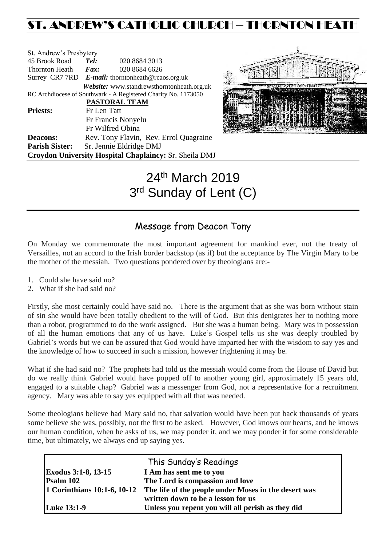## ST. ANDREW'S CATHOLIC CHURCH – THORNTON HEATH

| St. Andrew's Presbytery    |             |                                                                |
|----------------------------|-------------|----------------------------------------------------------------|
| 45 Brook Road              | Tel:        | 020 8684 3013                                                  |
| Thornton Heath <i>Fax:</i> |             | 020 8684 6626                                                  |
|                            |             | Surrey CR7 7RD E-mail: thorntonheath@rcaos.org.uk              |
|                            |             | <b>Website:</b> www.standrewsthorntonheath.org.uk              |
|                            |             | RC Archdiocese of Southwark - A Registered Charity No. 1173050 |
|                            |             | PASTORAL TEAM                                                  |
| <b>Priests:</b>            | Fr Len Tatt |                                                                |
|                            |             | Fr Francis Nonyelu                                             |
|                            |             | Fr Wilfred Obina                                               |
| <b>Deacons:</b>            |             | Rev. Tony Flavin, Rev. Errol Quagraine                         |
| <b>Parish Sister:</b>      |             | Sr. Jennie Eldridge DMJ                                        |
|                            |             | Croydon University Hospital Chaplaincy: Sr. Sheila DMJ         |



# 24<sup>th</sup> March 2019 3<sup>rd</sup> Sunday of Lent (C)

## Message from Deacon Tony

On Monday we commemorate the most important agreement for mankind ever, not the treaty of Versailles, not an accord to the Irish border backstop (as if) but the acceptance by The Virgin Mary to be the mother of the messiah. Two questions pondered over by theologians are:-

- 1. Could she have said no?
- 2. What if she had said no?

Firstly, she most certainly could have said no. There is the argument that as she was born without stain of sin she would have been totally obedient to the will of God. But this denigrates her to nothing more than a robot, programmed to do the work assigned. But she was a human being. Mary was in possession of all the human emotions that any of us have. Luke's Gospel tells us she was deeply troubled by Gabriel's words but we can be assured that God would have imparted her with the wisdom to say yes and the knowledge of how to succeed in such a mission, however frightening it may be.

What if she had said no? The prophets had told us the messiah would come from the House of David but do we really think Gabriel would have popped off to another young girl, approximately 15 years old, engaged to a suitable chap? Gabriel was a messenger from God, not a representative for a recruitment agency. Mary was able to say yes equipped with all that was needed.

Some theologians believe had Mary said no, that salvation would have been put back thousands of years some believe she was, possibly, not the first to be asked. However, God knows our hearts, and he knows our human condition, when he asks of us, we may ponder it, and we may ponder it for some considerable time, but ultimately, we always end up saying yes.

|                             | This Sunday's Readings                                                                     |
|-----------------------------|--------------------------------------------------------------------------------------------|
| <b>Exodus 3:1-8, 13-15</b>  | I Am has sent me to you                                                                    |
| Psalm 102                   | The Lord is compassion and love                                                            |
| 1 Corinthians 10:1-6, 10-12 | The life of the people under Moses in the desert was<br>written down to be a lesson for us |
| <b>Luke 13:1-9</b>          | Unless you repent you will all perish as they did                                          |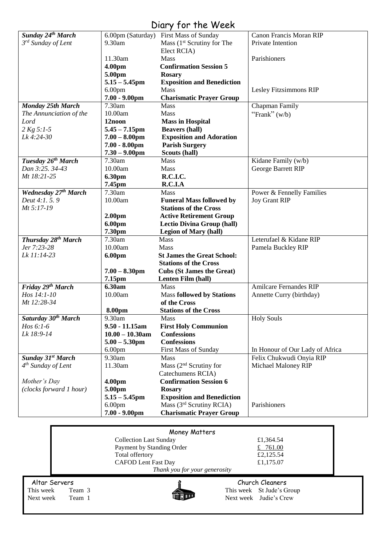## Diary for the Week

|                                 | 6.00 <sub>pm</sub><br>$7.00 - 9.00$ pm | Mass (3 <sup>rd</sup> Scrutiny RCIA)<br><b>Charismatic Prayer Group</b> | Parishioners                    |
|---------------------------------|----------------------------------------|-------------------------------------------------------------------------|---------------------------------|
|                                 | $5.15 - 5.45$ pm                       | <b>Exposition and Benediction</b>                                       |                                 |
| (clocks forward 1 hour)         | 5.00pm                                 | <b>Rosary</b>                                                           |                                 |
| Mother's Day                    | 4.00pm                                 | <b>Confirmation Session 6</b>                                           |                                 |
|                                 |                                        | Catechumens RCIA)                                                       |                                 |
| $4th$ Sunday of Lent            | 11.30am                                | Mass $(2nd$ Scrutiny for                                                | Michael Maloney RIP             |
| Sunday 31 <sup>st</sup> March   | 9.30am                                 | <b>Mass</b>                                                             | Felix Chukwudi Onyia RIP        |
|                                 | 6.00 <sub>pm</sub>                     | First Mass of Sunday                                                    | In Honour of Our Lady of Africa |
|                                 | $5.00 - 5.30$ pm                       | <b>Confessions</b>                                                      |                                 |
| Lk 18:9-14                      | $10.00 - 10.30$ am                     | <b>Confessions</b>                                                      |                                 |
| $H$ os 6:1-6                    | 9.50 - 11.15am                         | <b>First Holy Communion</b>                                             |                                 |
| Saturday 30th March             | 9.30am                                 | <b>Mass</b>                                                             | <b>Holy Souls</b>               |
|                                 | 8.00pm                                 | <b>Stations of the Cross</b>                                            |                                 |
| Mt 12:28-34                     |                                        | of the Cross                                                            |                                 |
| Hos 14:1-10                     | 10.00am                                | <b>Mass followed by Stations</b>                                        | Annette Curry (birthday)        |
| Friday 29th March               | 6.30am                                 | <b>Mass</b>                                                             | <b>Amilcare Fernandes RIP</b>   |
|                                 | 7.15pm                                 | Lenten Film (hall)                                                      |                                 |
|                                 | $7.00 - 8.30$ pm                       | <b>Cubs (St James the Great)</b>                                        |                                 |
|                                 |                                        | <b>Stations of the Cross</b>                                            |                                 |
| Lk 11:14-23                     | 6.00pm                                 | <b>St James the Great School:</b>                                       |                                 |
| Jer 7:23-28                     | 10.00am                                | <b>Mass</b>                                                             | Pamela Buckley RIP              |
| Thursday 28 <sup>th</sup> March | 7.30am                                 | Mass                                                                    | Leterufael & Kidane RIP         |
|                                 | 7.30pm                                 | <b>Legion of Mary (hall)</b>                                            |                                 |
|                                 | 6.00pm                                 | <b>Lectio Divina Group (hall)</b>                                       |                                 |
|                                 | 2.00 <sub>pm</sub>                     | <b>Active Retirement Group</b>                                          |                                 |
| Mt 5:17-19                      |                                        | <b>Stations of the Cross</b>                                            |                                 |
| Deut 4:1, 5, 9                  | 10.00am                                | <b>Funeral Mass followed by</b>                                         | <b>Joy Grant RIP</b>            |
| <b>Wednesday 27th March</b>     | 7.30am                                 | <b>Mass</b>                                                             | Power & Fennelly Families       |
|                                 | 7.45pm                                 | R.C.I.A                                                                 |                                 |
| Mt 18:21-25                     | 6.30pm                                 | R.C.I.C.                                                                |                                 |
| Dan 3:25. 34-43                 | 10.00am                                | Mass                                                                    | George Barrett RIP              |
| Tuesday 26 <sup>th</sup> March  | 7.30am                                 | <b>Mass</b>                                                             | Kidane Family (w/b)             |
|                                 | $7.30 - 9.00$ pm                       | Scouts (hall)                                                           |                                 |
|                                 | $7.00 - 8.00$ pm                       | <b>Parish Surgery</b>                                                   |                                 |
| Lk 4:24-30                      | $7.00 - 8.00$ pm                       | <b>Exposition and Adoration</b>                                         |                                 |
| $2 Kg 5:1-5$                    | $5.45 - 7.15$ pm                       | <b>Beavers (hall)</b>                                                   |                                 |
| Lord                            | 12noon                                 | <b>Mass in Hospital</b>                                                 |                                 |
| The Annunciation of the         | 10.00am                                | <b>Mass</b>                                                             | "Frank" $(w/b)$                 |
| <b>Monday 25th March</b>        | 7.30am                                 | <b>Mass</b>                                                             | Chapman Family                  |
|                                 | $7.00 - 9.00$ pm                       | <b>Charismatic Prayer Group</b>                                         |                                 |
|                                 | 6.00 <sub>pm</sub>                     | <b>Mass</b>                                                             | Lesley Fitzsimmons RIP          |
|                                 | $5.15 - 5.45$ pm                       | <b>Exposition and Benediction</b>                                       |                                 |
|                                 | 5.00pm                                 | <b>Rosary</b>                                                           |                                 |
|                                 | 4.00pm                                 | <b>Confirmation Session 5</b>                                           |                                 |
|                                 | 11.30am                                | <b>Mass</b>                                                             | Parishioners                    |
|                                 |                                        | Elect RCIA)                                                             |                                 |
| 3 <sup>rd</sup> Sunday of Lent  | 9.30am                                 | Mass (1 <sup>st</sup> Scrutiny for The                                  | Private Intention               |
| Sunday 24 <sup>th</sup> March   | 6.00pm (Saturday)                      | <b>First Mass of Sunday</b>                                             | Canon Francis Moran RIP         |

|                     | Money Matters                 |                           |  |
|---------------------|-------------------------------|---------------------------|--|
|                     | <b>Collection Last Sunday</b> | £1,364.54                 |  |
|                     | Payment by Standing Order     | £ 761.00                  |  |
|                     | Total offertory               | £2,125.54                 |  |
|                     | <b>CAFOD Lent Fast Day</b>    | £1,175.07                 |  |
|                     | Thank you for your generosity |                           |  |
| Altar Servers       |                               | Church Cleaners           |  |
| This week<br>Team 3 |                               | This week St Jude's Group |  |
| Next week<br>Team 1 |                               | Next week Judie's Crew    |  |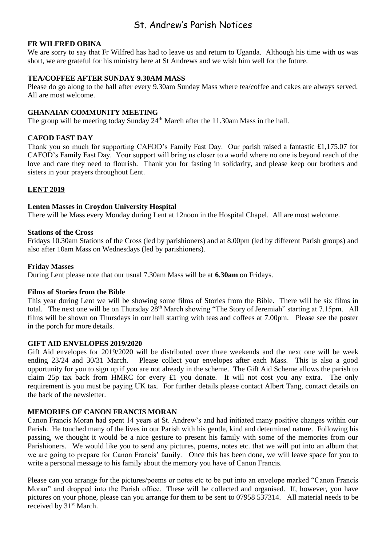## St. Andrew's Parish Notices

#### **FR WILFRED OBINA**

We are sorry to say that Fr Wilfred has had to leave us and return to Uganda. Although his time with us was short, we are grateful for his ministry here at St Andrews and we wish him well for the future.

#### **TEA/COFFEE AFTER SUNDAY 9.30AM MASS**

Please do go along to the hall after every 9.30am Sunday Mass where tea/coffee and cakes are always served. All are most welcome.

#### **GHANAIAN COMMUNITY MEETING**

The group will be meeting today Sunday 24<sup>th</sup> March after the 11.30am Mass in the hall.

#### **CAFOD FAST DAY**

Thank you so much for supporting CAFOD's Family Fast Day. Our parish raised a fantastic £1,175.07 for CAFOD's Family Fast Day. Your support will bring us closer to a world where no one is beyond reach of the love and care they need to flourish. Thank you for fasting in solidarity, and please keep our brothers and sisters in your prayers throughout Lent.

#### **LENT 2019**

#### **Lenten Masses in Croydon University Hospital**

There will be Mass every Monday during Lent at 12noon in the Hospital Chapel. All are most welcome.

#### **Stations of the Cross**

Fridays 10.30am Stations of the Cross (led by parishioners) and at 8.00pm (led by different Parish groups) and also after 10am Mass on Wednesdays (led by parishioners).

#### **Friday Masses**

During Lent please note that our usual 7.30am Mass will be at **6.30am** on Fridays.

#### **Films of Stories from the Bible**

This year during Lent we will be showing some films of Stories from the Bible. There will be six films in total. The next one will be on Thursday 28<sup>th</sup> March showing "The Story of Jeremiah" starting at 7.15pm. All films will be shown on Thursdays in our hall starting with teas and coffees at 7.00pm. Please see the poster in the porch for more details.

#### **GIFT AID ENVELOPES 2019/2020**

Gift Aid envelopes for 2019/2020 will be distributed over three weekends and the next one will be week ending 23/24 and 30/31 March. Please collect your envelopes after each Mass. This is also a good opportunity for you to sign up if you are not already in the scheme. The Gift Aid Scheme allows the parish to claim 25p tax back from HMRC for every £1 you donate. It will not cost you any extra. The only requirement is you must be paying UK tax. For further details please contact Albert Tang, contact details on the back of the newsletter.

#### **MEMORIES OF CANON FRANCIS MORAN**

Canon Francis Moran had spent 14 years at St. Andrew's and had initiated many positive changes within our Parish. He touched many of the lives in our Parish with his gentle, kind and determined nature. Following his passing, we thought it would be a nice gesture to present his family with some of the memories from our Parishioners. We would like you to send any pictures, poems, notes etc. that we will put into an album that we are going to prepare for Canon Francis' family. Once this has been done, we will leave space for you to write a personal message to his family about the memory you have of Canon Francis.

Please can you arrange for the pictures/poems or notes etc to be put into an envelope marked "Canon Francis Moran" and dropped into the Parish office. These will be collected and organised. If, however, you have pictures on your phone, please can you arrange for them to be sent to 07958 537314. All material needs to be received by 31<sup>st</sup> March.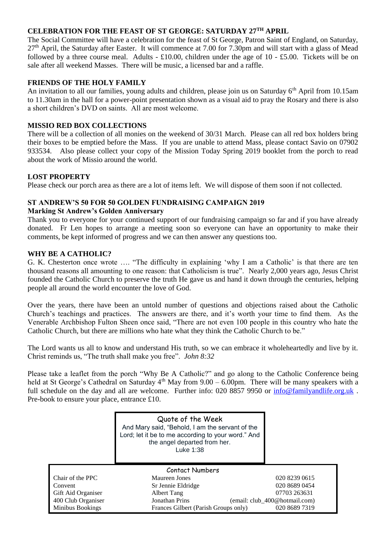#### **CELEBRATION FOR THE FEAST OF ST GEORGE: SATURDAY 27TH APRIL**

The Social Committee will have a celebration for the feast of St George, Patron Saint of England, on Saturday, 27<sup>th</sup> April, the Saturday after Easter. It will commence at 7.00 for 7.30pm and will start with a glass of Mead followed by a three course meal. Adults - £10.00, children under the age of 10 - £5.00. Tickets will be on sale after all weekend Masses. There will be music, a licensed bar and a raffle.

#### **FRIENDS OF THE HOLY FAMILY**

An invitation to all our families, young adults and children, please join us on Saturday 6<sup>th</sup> April from 10.15am to 11.30am in the hall for a power-point presentation shown as a visual aid to pray the Rosary and there is also a short children's DVD on saints. All are most welcome.

#### **MISSIO RED BOX COLLECTIONS**

There will be a collection of all monies on the weekend of 30/31 March. Please can all red box holders bring their boxes to be emptied before the Mass. If you are unable to attend Mass, please contact Savio on 07902 933534. Also please collect your copy of the Mission Today Spring 2019 booklet from the porch to read about the work of Missio around the world.

#### **LOST PROPERTY**

Please check our porch area as there are a lot of items left. We will dispose of them soon if not collected.

#### **ST ANDREW'S 50 FOR 50 GOLDEN FUNDRAISING CAMPAIGN 2019**

#### **Marking St Andrew's Golden Anniversary**

Thank you to everyone for your continued support of our fundraising campaign so far and if you have already donated. Fr Len hopes to arrange a meeting soon so everyone can have an opportunity to make their comments, be kept informed of progress and we can then answer any questions too.

#### **WHY BE A CATHOLIC?**

G. K. Chesterton once wrote …. "The difficulty in explaining 'why I am a Catholic' is that there are ten thousand reasons all amounting to one reason: that Catholicism is true". Nearly 2,000 years ago, Jesus Christ founded the Catholic Church to preserve the truth He gave us and hand it down through the centuries, helping people all around the world encounter the love of God.

Over the years, there have been an untold number of questions and objections raised about the Catholic Church's teachings and practices. The answers are there, and it's worth your time to find them. As the Venerable Archbishop Fulton Sheen once said, "There are not even 100 people in this country who hate the Catholic Church, but there are millions who hate what they think the Catholic Church to be."

The Lord wants us all to know and understand His truth, so we can embrace it wholeheartedly and live by it. Christ reminds us, "The truth shall make you free". *John 8:32*

Please take a leaflet from the porch "Why Be A Catholic?" and go along to the Catholic Conference being held at St George's Cathedral on Saturday  $4<sup>th</sup>$  May from 9.00 – 6.00pm. There will be many speakers with a full schedule on the day and all are welcome. Further info: 020 8857 9950 or [info@familyandlife.org.uk](mailto:info@familyandlife.org.uk). Pre-book to ensure your place, entrance £10.

|                    | Quote of the Week<br>And Mary said, "Behold, I am the servant of the<br>Lord; let it be to me according to your word." And<br>the angel departed from her.<br>Luke 1:38 |                               |  |  |
|--------------------|-------------------------------------------------------------------------------------------------------------------------------------------------------------------------|-------------------------------|--|--|
| Contact Numbers    |                                                                                                                                                                         |                               |  |  |
| Chair of the PPC   | Maureen Jones                                                                                                                                                           | 020 8239 0615                 |  |  |
| Convent            | Sr Jennie Eldridge                                                                                                                                                      | 020 8689 0454                 |  |  |
| Gift Aid Organiser | Albert Tang                                                                                                                                                             | 07703 263631                  |  |  |
| 400 Club Organiser | <b>Jonathan Prins</b>                                                                                                                                                   | (email: club_400@hotmail.com) |  |  |
| Minibus Bookings   | Frances Gilbert (Parish Groups only)                                                                                                                                    | 020 8689 7319                 |  |  |